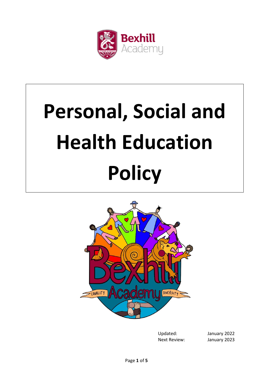

# **Personal, Social and Health Education Policy**



Updated: January 2022 Next Review: January 2023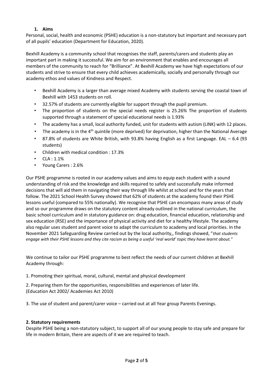## **1. Aims**

Personal, social, health and economic (PSHE) education is a non-statutory but important and necessary part of all pupils' education (Department for Education, 2020).

Bexhill Academy is a community school that recognises the staff, parents/carers and students play an important part in making it successful. We aim for an environment that enables and encourages all members of the community to reach for "Brilliance". At Bexhill Academy we have high expectations of our students and strive to ensure that every child achieves academically, socially and personally through our academy ethos and values of Kindness and Respect.

- Bexhill Academy is a larger than average mixed Academy with students serving the coastal town of Bexhill with 1453 students on roll.
- 32.57% of students are currently eligible for support through the pupil premium.
- The proportion of students on the special needs register is 25.26% The proportion of students supported through a statement of special educational needs is 1.93%
- The academy has a small, local authority funded, unit for students with autism (LINK) with 12 places.
- The academy is in the 4<sup>th</sup> quintile (more deprived) for deprivation, higher than the National Average
- 87.8% of students are White British, with 93.8% having English as a first Language. EAL 6.4 (93) students)
- Children with medical condition : 17.3%
- $CIA: 1.1%$
- Young Carers : 2.6%

Our PSHE programme is rooted in our academy values and aims to equip each student with a sound understanding of risk and the knowledge and skills required to safely and successfully make informed decisions that will aid them in navigating their way through life whilst at school and for the years that follow. The 2021 School Health Survey showed that 62% of students at the academy found their PSHE lessons useful (compared to 55% nationally). We recognise that PSHE can encompass many areas of study and so our programme draws on the statutory content already outlined in the national curriculum, the basic school curriculum and in statutory guidance on: drug education, financial education, relationship and sex education (RSE) and the importance of physical activity and diet for a healthy lifestyle. The academy also regular uses student and parent voice to adapt the curriculum to academy and local priorities. In the November 2021 Safeguarding Review carried out by the local authority,, findings showed, "*that students engage with their PSHE lessons and they cite racism as being a useful 'real world' topic they have learnt about."*

We continue to tailor our PSHE programme to best reflect the needs of our current children at Bexhill Academy through:

1. Promoting their spiritual, moral, cultural, mental and physical development

2. Preparing them for the opportunities, responsibilities and experiences of later life. (Education Act 2002/ Academies Act 2010)

3. The use of student and parent/carer voice – carried out at all Year group Parents Evenings.

## **2. Statutory requirements**

Despite PSHE being a non-statutory subject, to support all of our young people to stay safe and prepare for life in modern Britain, there are aspects of it we are required to teach.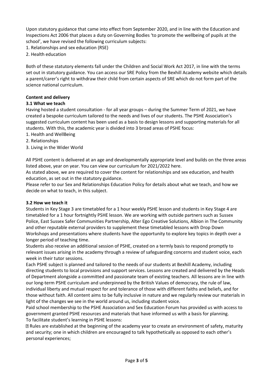Upon statutory guidance that came into effect from September 2020, and in line with the Education and Inspections Act 2006 that places a duty on Governing Bodies 'to promote the wellbeing of pupils at the school', we have revised the following curriculum subjects:

- 1. Relationships and sex education (RSE)
- 2. Health education

Both of these statutory elements fall under the Children and Social Work Act 2017, in line with the terms set out in statutory guidance. You can access our SRE Policy from the Bexhill Academy website which details a parent/carer's right to withdraw their child from certain aspects of SRE which do not form part of the science national curriculum.

# **Content and delivery**

## **3.1 What we teach**

Having hosted a student consultation - for all year groups – during the Summer Term of 2021, we have created a bespoke curriculum tailored to the needs and lives of our students. The PSHE Association's suggested curriculum content has been used as a basis to design lessons and supporting materials for all students. With this, the academic year is divided into 3 broad areas of PSHE focus:

- 1. Health and WellBeing
- 2. Relationships
- 3. Living in the Wider World

All PSHE content is delivered at an age and developmentally appropriate level and builds on the three areas listed above, year on year. You can view our curriculum for 2021/2022 here.

As stated above, we are required to cover the content for relationships and sex education, and health education, as set out in the statutory guidance.

Please refer to our Sex and Relationships Education Policy for details about what we teach, and how we decide on what to teach, in this subject.

## **3.2 How we teach it**

Students in Key Stage 3 are timetabled for a 1 hour weekly PSHE lesson and students in Key Stage 4 are timetabled for a 1 hour fortnightly PSHE lesson. We are working with outside partners such as Sussex Police, East Sussex Safer Communities Partnership, Alter Ego Creative Solutions, Albion in The Community and other reputable external providers to supplement these timetabled lessons with Drop Down Workshops and presentations where students have the opportunity to explore key topics in depth over a longer period of teaching time.

Students also receive an additional session of PSHE, created on a termly basis to respond promptly to relevant issues arising in the academy through a review of safeguarding concerns and student voice, each week in their tutor sessions.

Each PSHE subject is planned and tailored to the needs of our students at Bexhill Academy, including directing students to local provisions and support services. Lessons are created and delivered by the Heads of Department alongside a committed and passionate team of existing teachers. All lessons are in line with our long-term PSHE curriculum and underpinned by the British Values of democracy, the rule of law, individual liberty and mutual respect for and tolerance of those with different faiths and beliefs, and for those without faith. All content aims to be fully inclusive in nature and we regularly review our materials in light of the changes we see in the world around us, including student voice.

Paid school membership to the PSHE Association and Sex Education Forum has provided us with access to government granted PSHE resources and materials that have informed us with a basis for planning. To facilitate student's learning in PSHE lessons:

Rules are established at the beginning of the academy year to create an environment of safety, maturity and security; one in which children are encouraged to talk hypothetically as opposed to each other's personal experiences;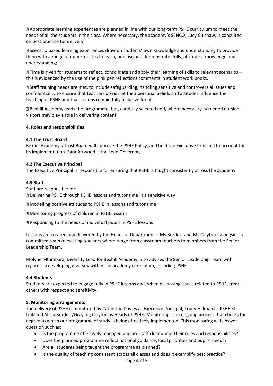Appropriate learning experiences are planned in line with our long-term PSHE curriculum to meet the needs of all the students in the class. Where necessary, the academy's SENCO, Lucy Culshaw, is consulted on best practice for delivery;

Scenario based learning experiences draw on students' own knowledge and understanding to provide them with a range of opportunities to learn, practise and demonstrate skills, attitudes, knowledge and understanding;

Time is given for students to reflect, consolidate and apply their learning of skills to relevant scenarios – this is evidenced by the use of the pink pen reflections comments in student work books.

Staff training needs are met, to include safeguarding, handling sensitive and controversial issues and confidentiality to ensure that teachers do not let their personal beliefs and attitudes influence their teaching of PSHE and that lessons remain fully inclusive for all;

Bexhill Academy leads the programme, but, carefully selected and, where necessary, screened outside visitors may play a role in delivering content.

## **4. Roles and responsibilities**

## **4.1 The Trust Board**

Bexhill Academy's Trust Board will approve the PSHE Policy, and hold the Executive Principal to account for its implementation. Sara Attwood is the Lead Governor,

## **4.2 The Executive Principal**

The Executive Principal is responsible for ensuring that PSHE is taught consistently across the academy.

## **4.3 Staff**

Staff are responsible for: Delivering PSHE through PSHE lessons and tutor time in a sensitive way

Modelling positive attitudes to PSHE in lessons and tutor time

Monitoring progress of children in PSHE lessons

Responding to the needs of individual pupils in PSHE lessons

Lessons are created and delivered by the Heads of Department – Ms Burdett and Ms Clayton - alongside a committed team of existing teachers whom range from classroom teachers to members from the Senior Leadership Team.

Molyne Mtambara, Diversity Lead for Bexhill Academy, also advises the Senior Leadership Team with regards to developing diversity within the academy curriculum, including PSHE

#### **4.4 Students**

Students are expected to engage fully in PSHE lessons and, when discussing issues related to PSHE, treat others with respect and sensitivity.

#### **5. Monitoring arrangements**

The delivery of PSHE is monitored by Catherine Davies as Executive Principal, Trudy Hillman as PSHE SLT Link and Alicia Burdett/Grayling Clayton as Heads of PSHE. Monitoring is an ongoing process that checks the degree to which our programme of study is being effectively implemented. This monitoring will answer question such as:

- Is the programme effectively managed and are staff clear about their roles and responsibilities?
- Does the planned programme reflect national guidance, local priorities and pupils' needs?
- Are all students being taught the programme as planned?
- Is the quality of teaching consistent across all classes and does it exemplify best practice?